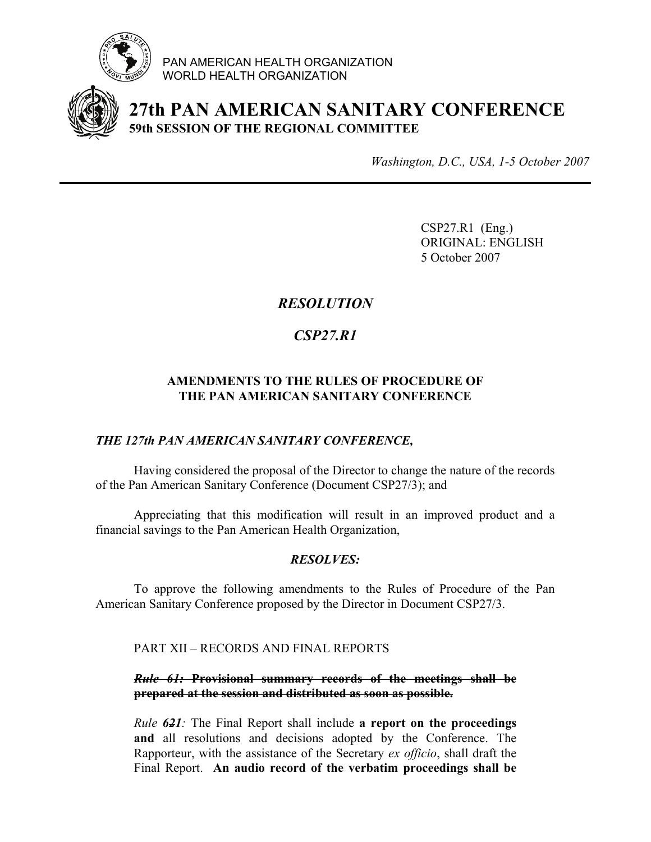

PAN AMERICAN HEALTH ORGANIZATION WORLD HEALTH ORGANIZATION



**27th PAN AMERICAN SANITARY CONFERENCE 59th SESSION OF THE REGIONAL COMMITTEE**

*Washington, D.C., USA, 1-5 October 2007*

CSP27.R1 (Eng.) ORIGINAL: ENGLISH 5 October 2007

## *RESOLUTION*

# *CSP27.R1*

### **AMENDMENTS TO THE RULES OF PROCEDURE OF THE PAN AMERICAN SANITARY CONFERENCE**

#### *THE 127th PAN AMERICAN SANITARY CONFERENCE,*

Having considered the proposal of the Director to change the nature of the records of the Pan American Sanitary Conference (Document CSP27/3); and

Appreciating that this modification will result in an improved product and a financial savings to the Pan American Health Organization,

#### *RESOLVES:*

To approve the following amendments to the Rules of Procedure of the Pan American Sanitary Conference proposed by the Director in Document CSP27/3.

PART XII – RECORDS AND FINAL REPORTS

#### *Rule 61:* **Provisional summary records of the meetings shall be prepared at the session and distributed as soon as possible.**

*Rule 621:* The Final Report shall include **a report on the proceedings and** all resolutions and decisions adopted by the Conference. The Rapporteur, with the assistance of the Secretary *ex officio*, shall draft the Final Report. **An audio record of the verbatim proceedings shall be**